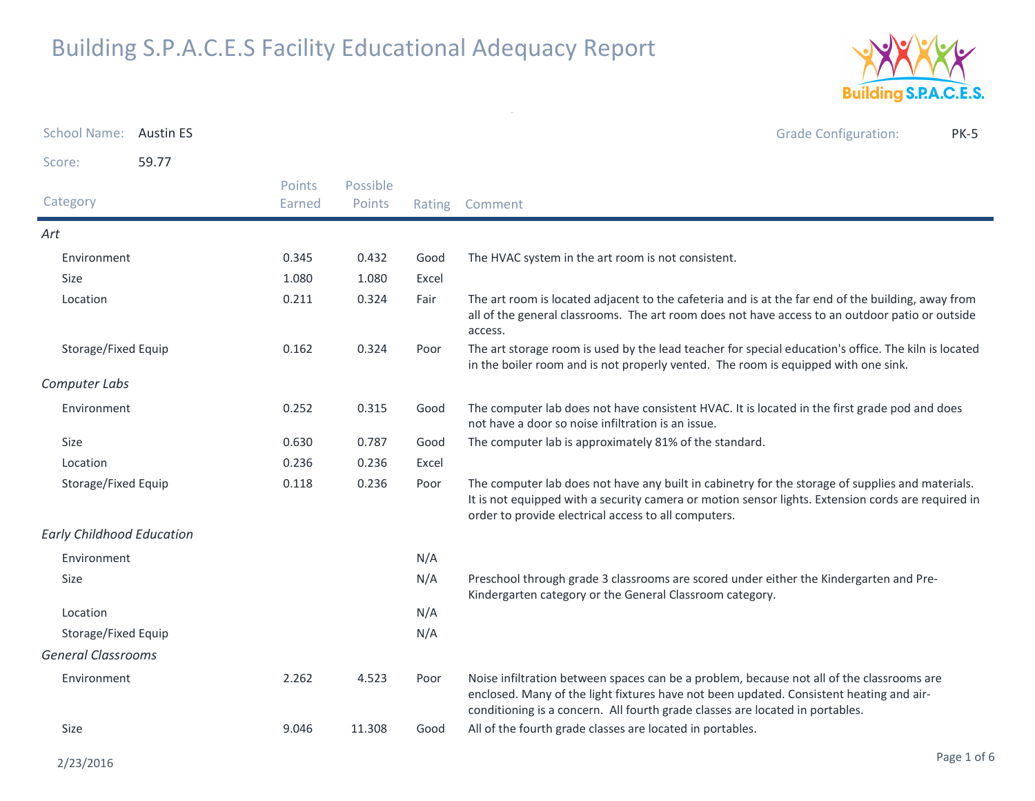

| School Name: Austin ES           |       |                  |                    |        | <b>Grade Configuration:</b><br><b>PK-5</b>                                                                                                                                                                                                                            |
|----------------------------------|-------|------------------|--------------------|--------|-----------------------------------------------------------------------------------------------------------------------------------------------------------------------------------------------------------------------------------------------------------------------|
| Score:                           | 59.77 |                  |                    |        |                                                                                                                                                                                                                                                                       |
| Category                         |       | Points<br>Earned | Possible<br>Points | Rating | Comment                                                                                                                                                                                                                                                               |
| Art                              |       |                  |                    |        |                                                                                                                                                                                                                                                                       |
| Environment                      |       | 0.345            | 0.432              | Good   | The HVAC system in the art room is not consistent.                                                                                                                                                                                                                    |
| Size                             |       | 1.080            | 1.080              | Excel  |                                                                                                                                                                                                                                                                       |
| Location                         |       | 0.211            | 0.324              | Fair   | The art room is located adjacent to the cafeteria and is at the far end of the building, away from<br>all of the general classrooms. The art room does not have access to an outdoor patio or outside<br>access.                                                      |
| Storage/Fixed Equip              |       | 0.162            | 0.324              | Poor   | The art storage room is used by the lead teacher for special education's office. The kiln is located<br>in the boiler room and is not properly vented. The room is equipped with one sink.                                                                            |
| Computer Labs                    |       |                  |                    |        |                                                                                                                                                                                                                                                                       |
| Environment                      |       | 0.252            | 0.315              | Good   | The computer lab does not have consistent HVAC. It is located in the first grade pod and does<br>not have a door so noise infiltration is an issue.                                                                                                                   |
| Size                             |       | 0.630            | 0.787              | Good   | The computer lab is approximately 81% of the standard.                                                                                                                                                                                                                |
| Location                         |       | 0.236            | 0.236              | Excel  |                                                                                                                                                                                                                                                                       |
| Storage/Fixed Equip              |       | 0.118            | 0.236              | Poor   | The computer lab does not have any built in cabinetry for the storage of supplies and materials.<br>It is not equipped with a security camera or motion sensor lights. Extension cords are required in<br>order to provide electrical access to all computers.        |
| <b>Early Childhood Education</b> |       |                  |                    |        |                                                                                                                                                                                                                                                                       |
| Environment                      |       |                  |                    | N/A    |                                                                                                                                                                                                                                                                       |
| Size                             |       |                  |                    | N/A    | Preschool through grade 3 classrooms are scored under either the Kindergarten and Pre-<br>Kindergarten category or the General Classroom category.                                                                                                                    |
| Location                         |       |                  |                    | N/A    |                                                                                                                                                                                                                                                                       |
| Storage/Fixed Equip              |       |                  |                    | N/A    |                                                                                                                                                                                                                                                                       |
| <b>General Classrooms</b>        |       |                  |                    |        |                                                                                                                                                                                                                                                                       |
| Environment                      |       | 2.262            | 4.523              | Poor   | Noise infiltration between spaces can be a problem, because not all of the classrooms are<br>enclosed. Many of the light fixtures have not been updated. Consistent heating and air-<br>conditioning is a concern. All fourth grade classes are located in portables. |
| Size                             |       | 9.046            | 11.308             | Good   | All of the fourth grade classes are located in portables.                                                                                                                                                                                                             |

 $\sim$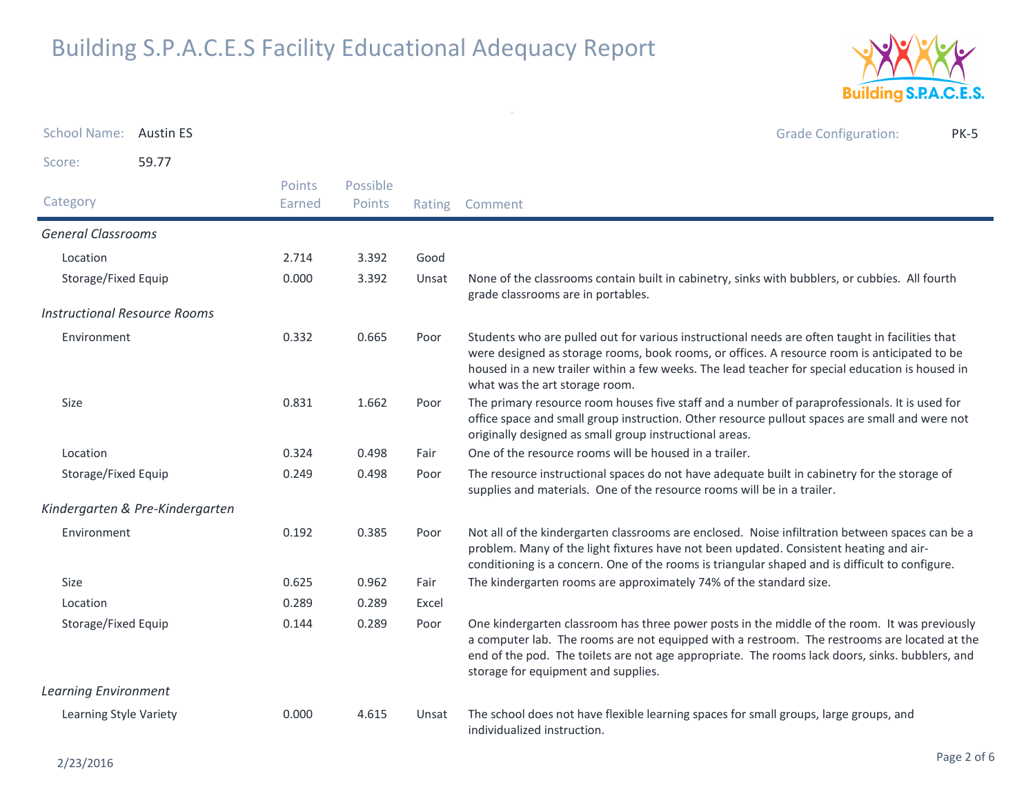

School Name: Austin ES Grade Configuration: PK-5Score: 59.77Category Rating Comment Possible PointsPoints EarnedGeneral ClassroomsLocationn 2.714 3.392 Good Storage/Fixed Equip None of the classrooms contain built in cabinetry, sinks with bubblers, or cubbies. All fourth grade classrooms are in portables.0.000Unsat Instructional Resource RoomsEnvironmentPoor Students who are pulled out for various instructional needs are often taught in facilities that were designed as storage rooms, book rooms, or offices. A resource room is anticipated to be housed in a new trailer within a few weeks. The lead teacher for special education is housed in what was the art storage room.0.3320.665 Size The primary resource room houses five staff and a number of paraprofessionals. It is used for office space and small group instruction. Other resource pullout spaces are small and were not originally designed as small group instructional areas.0.8311.662 Location 0.324 0.498 Fair One of the resource rooms will be housed in a trailer. Storage/Fixed Equip The resource instructional spaces do not have adequate built in cabinetry for the storage of supplies and materials. One of the resource rooms will be in a trailer.0.249 $0.498$ Kindergarten & Pre-KindergartenEnvironment Not all of the kindergarten classrooms are enclosed. Noise infiltration between spaces can be a problem. Many of the light fixtures have not been updated. Consistent heating and airconditioning is a concern. One of the rooms is triangular shaped and is difficult to configure.0.1920.385 Sizee 0.625 0.962 Fair The kindergarten rooms are approximately 74% of the standard size. Location 0.289 0.289 Excel Storage/Fixed Equip One kindergarten classroom has three power posts in the middle of the room. It was previously a computer lab. The rooms are not equipped with a restroom. The restrooms are located at the end of the pod. The toilets are not age appropriate. The rooms lack doors, sinks. bubblers, and storage for equipment and supplies.0.1440.289 Learning EnvironmentLearning Style Variety The school does not have flexible learning spaces for small groups, large groups, and individualized instruction.0.0004.615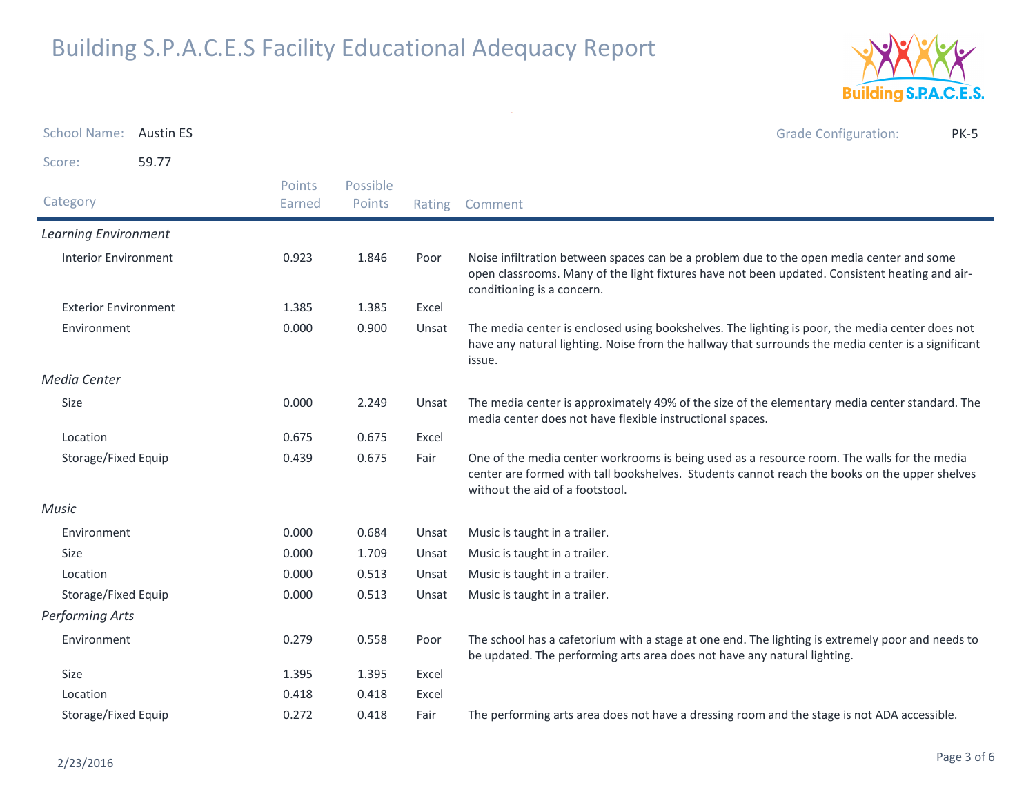

| <b>School Name:</b>         | <b>Austin ES</b> |        |          |        | <b>Grade Configuration:</b><br><b>PK-5</b>                                                                                                                                                                                      |
|-----------------------------|------------------|--------|----------|--------|---------------------------------------------------------------------------------------------------------------------------------------------------------------------------------------------------------------------------------|
| Score:                      | 59.77            |        |          |        |                                                                                                                                                                                                                                 |
|                             |                  | Points | Possible |        |                                                                                                                                                                                                                                 |
| Category                    |                  | Earned | Points   | Rating | Comment                                                                                                                                                                                                                         |
| <b>Learning Environment</b> |                  |        |          |        |                                                                                                                                                                                                                                 |
| <b>Interior Environment</b> |                  | 0.923  | 1.846    | Poor   | Noise infiltration between spaces can be a problem due to the open media center and some<br>open classrooms. Many of the light fixtures have not been updated. Consistent heating and air-<br>conditioning is a concern.        |
| <b>Exterior Environment</b> |                  | 1.385  | 1.385    | Excel  |                                                                                                                                                                                                                                 |
| Environment                 |                  | 0.000  | 0.900    | Unsat  | The media center is enclosed using bookshelves. The lighting is poor, the media center does not<br>have any natural lighting. Noise from the hallway that surrounds the media center is a significant<br>issue.                 |
| Media Center                |                  |        |          |        |                                                                                                                                                                                                                                 |
| Size                        |                  | 0.000  | 2.249    | Unsat  | The media center is approximately 49% of the size of the elementary media center standard. The<br>media center does not have flexible instructional spaces.                                                                     |
| Location                    |                  | 0.675  | 0.675    | Excel  |                                                                                                                                                                                                                                 |
| Storage/Fixed Equip         |                  | 0.439  | 0.675    | Fair   | One of the media center workrooms is being used as a resource room. The walls for the media<br>center are formed with tall bookshelves. Students cannot reach the books on the upper shelves<br>without the aid of a footstool. |
| <b>Music</b>                |                  |        |          |        |                                                                                                                                                                                                                                 |
| Environment                 |                  | 0.000  | 0.684    | Unsat  | Music is taught in a trailer.                                                                                                                                                                                                   |
| Size                        |                  | 0.000  | 1.709    | Unsat  | Music is taught in a trailer.                                                                                                                                                                                                   |
| Location                    |                  | 0.000  | 0.513    | Unsat  | Music is taught in a trailer.                                                                                                                                                                                                   |
| Storage/Fixed Equip         |                  | 0.000  | 0.513    | Unsat  | Music is taught in a trailer.                                                                                                                                                                                                   |
| <b>Performing Arts</b>      |                  |        |          |        |                                                                                                                                                                                                                                 |
| Environment                 |                  | 0.279  | 0.558    | Poor   | The school has a cafetorium with a stage at one end. The lighting is extremely poor and needs to<br>be updated. The performing arts area does not have any natural lighting.                                                    |
| Size                        |                  | 1.395  | 1.395    | Excel  |                                                                                                                                                                                                                                 |
| Location                    |                  | 0.418  | 0.418    | Excel  |                                                                                                                                                                                                                                 |
| Storage/Fixed Equip         |                  | 0.272  | 0.418    | Fair   | The performing arts area does not have a dressing room and the stage is not ADA accessible.                                                                                                                                     |

 $\sim$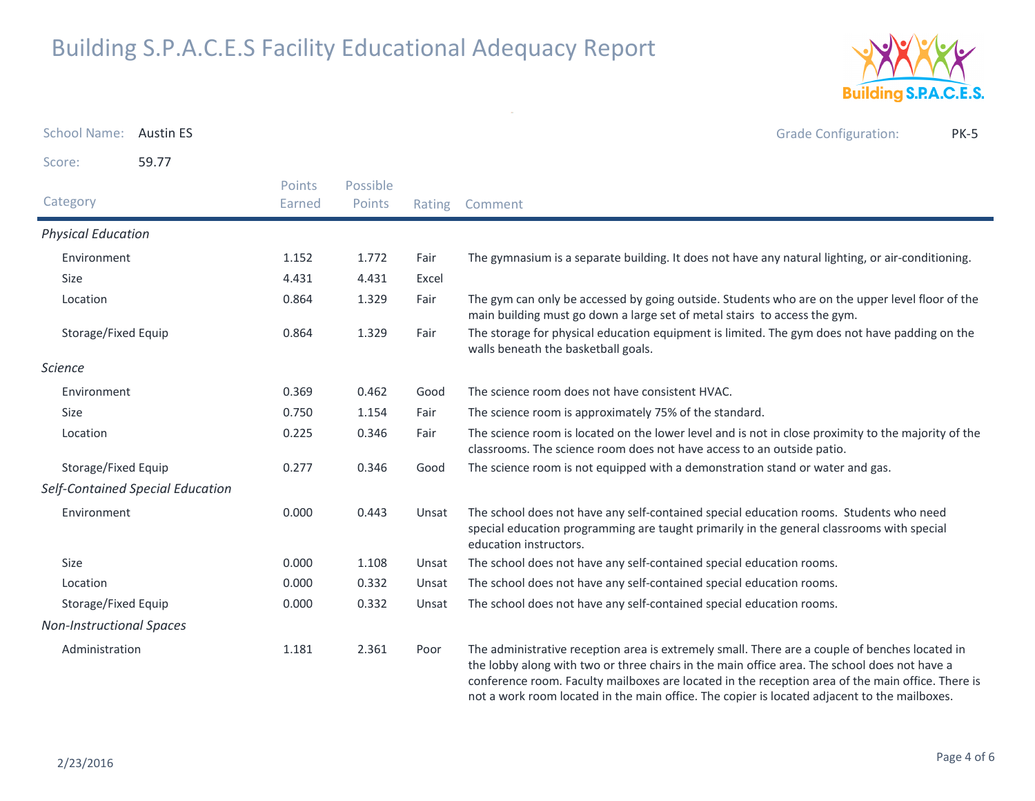

| School Name: Austin ES          |                                  |                  |                    |        | <b>Grade Configuration:</b><br><b>PK-5</b>                                                                                                                                                                                                                                                                                                                                                          |
|---------------------------------|----------------------------------|------------------|--------------------|--------|-----------------------------------------------------------------------------------------------------------------------------------------------------------------------------------------------------------------------------------------------------------------------------------------------------------------------------------------------------------------------------------------------------|
| Score:                          | 59.77                            |                  |                    |        |                                                                                                                                                                                                                                                                                                                                                                                                     |
| Category                        |                                  | Points<br>Earned | Possible<br>Points | Rating | Comment                                                                                                                                                                                                                                                                                                                                                                                             |
| <b>Physical Education</b>       |                                  |                  |                    |        |                                                                                                                                                                                                                                                                                                                                                                                                     |
| Environment                     |                                  | 1.152            | 1.772              | Fair   | The gymnasium is a separate building. It does not have any natural lighting, or air-conditioning.                                                                                                                                                                                                                                                                                                   |
| Size                            |                                  | 4.431            | 4.431              | Excel  |                                                                                                                                                                                                                                                                                                                                                                                                     |
| Location                        |                                  | 0.864            | 1.329              | Fair   | The gym can only be accessed by going outside. Students who are on the upper level floor of the<br>main building must go down a large set of metal stairs to access the gym.                                                                                                                                                                                                                        |
| Storage/Fixed Equip             |                                  | 0.864            | 1.329              | Fair   | The storage for physical education equipment is limited. The gym does not have padding on the<br>walls beneath the basketball goals.                                                                                                                                                                                                                                                                |
| <b>Science</b>                  |                                  |                  |                    |        |                                                                                                                                                                                                                                                                                                                                                                                                     |
| Environment                     |                                  | 0.369            | 0.462              | Good   | The science room does not have consistent HVAC.                                                                                                                                                                                                                                                                                                                                                     |
| Size                            |                                  | 0.750            | 1.154              | Fair   | The science room is approximately 75% of the standard.                                                                                                                                                                                                                                                                                                                                              |
| Location                        |                                  | 0.225            | 0.346              | Fair   | The science room is located on the lower level and is not in close proximity to the majority of the<br>classrooms. The science room does not have access to an outside patio.                                                                                                                                                                                                                       |
| Storage/Fixed Equip             |                                  | 0.277            | 0.346              | Good   | The science room is not equipped with a demonstration stand or water and gas.                                                                                                                                                                                                                                                                                                                       |
|                                 | Self-Contained Special Education |                  |                    |        |                                                                                                                                                                                                                                                                                                                                                                                                     |
| Environment                     |                                  | 0.000            | 0.443              | Unsat  | The school does not have any self-contained special education rooms. Students who need<br>special education programming are taught primarily in the general classrooms with special<br>education instructors.                                                                                                                                                                                       |
| <b>Size</b>                     |                                  | 0.000            | 1.108              | Unsat  | The school does not have any self-contained special education rooms.                                                                                                                                                                                                                                                                                                                                |
| Location                        |                                  | 0.000            | 0.332              | Unsat  | The school does not have any self-contained special education rooms.                                                                                                                                                                                                                                                                                                                                |
| Storage/Fixed Equip             |                                  | 0.000            | 0.332              | Unsat  | The school does not have any self-contained special education rooms.                                                                                                                                                                                                                                                                                                                                |
| <b>Non-Instructional Spaces</b> |                                  |                  |                    |        |                                                                                                                                                                                                                                                                                                                                                                                                     |
| Administration                  |                                  | 1.181            | 2.361              | Poor   | The administrative reception area is extremely small. There are a couple of benches located in<br>the lobby along with two or three chairs in the main office area. The school does not have a<br>conference room. Faculty mailboxes are located in the reception area of the main office. There is<br>not a work room located in the main office. The copier is located adjacent to the mailboxes. |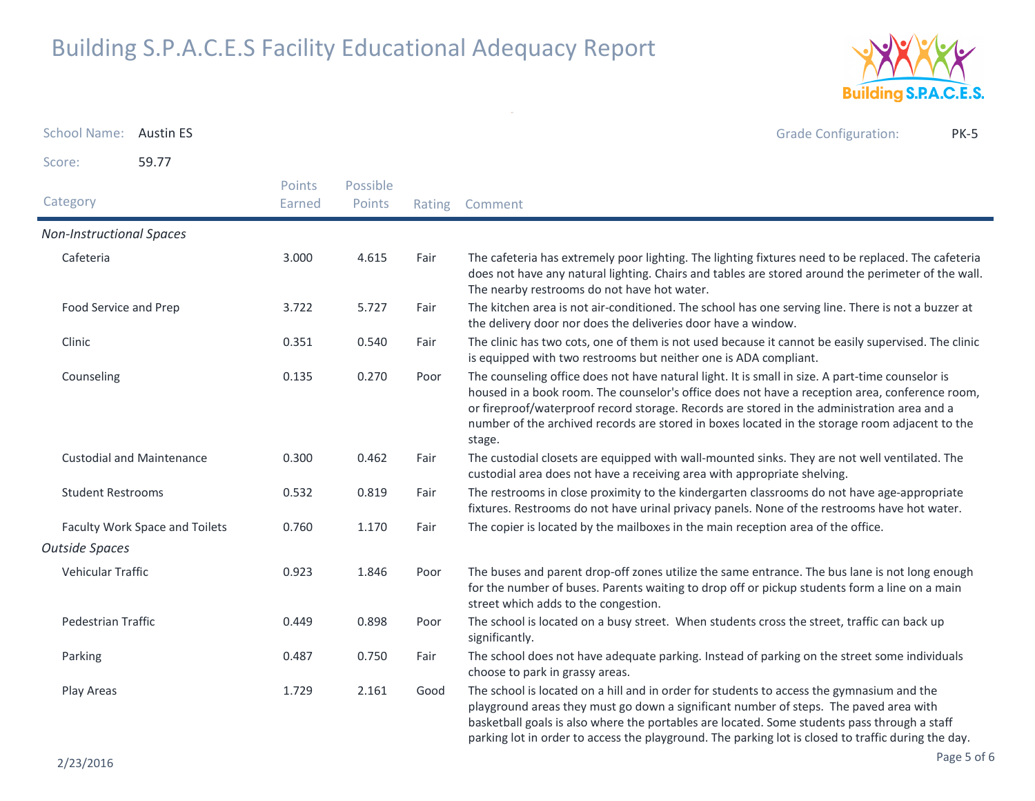

School Name: Austin ES Grade Configuration: PK-5Score: 59.77**Category**  Rating Comment Possible PointsPoints EarnedNon-Instructional SpacesCafeteria The cafeteria has extremely poor lighting. The lighting fixtures need to be replaced. The cafeteria does not have any natural lighting. Chairs and tables are stored around the perimeter of the wall. The nearby restrooms do not have hot water.3.0004.615 Food Service and Prep The kitchen area is not air-conditioned. The school has one serving line. There is not a buzzer at the delivery door nor does the deliveries door have a window.3.7225.727 Clinic The clinic has two cots, one of them is not used because it cannot be easily supervised. The clinic is equipped with two restrooms but neither one is ADA compliant.0.351 $0.540$ Counseling The counseling office does not have natural light. It is small in size. A part-time counselor is housed in a book room. The counselor's office does not have a reception area, conference room, or fireproof/waterproof record storage. Records are stored in the administration area and a number of the archived records are stored in boxes located in the storage room adjacent to the stage.0.135 $0.270$ Custodial and Maintenance The custodial closets are equipped with wall-mounted sinks. They are not well ventilated. The custodial area does not have a receiving area with appropriate shelving.0.300 $0.462$ Student Restrooms The restrooms in close proximity to the kindergarten classrooms do not have age-appropriate fixtures. Restrooms do not have urinal privacy panels. None of the restrooms have hot water.0.5320.819 Faculty Work Space and Toilets 0.760 1.170 Fair The copier is located by the mailboxes in the main reception area of the office. Outside SpacesVehicular Traffic The buses and parent drop-off zones utilize the same entrance. The bus lane is not long enough for the number of buses. Parents waiting to drop off or pickup students form a line on a main street which adds to the congestion.0.9231.846 Pedestrian Traffic The school is located on a busy street. When students cross the street, traffic can back up significantly. 0.4490.898 Parking The school does not have adequate parking. Instead of parking on the street some individuals choose to park in grassy areas.0.487 $0.750$ Play Areas The school is located on a hill and in order for students to access the gymnasium and the playground areas they must go down a significant number of steps. The paved area with basketball goals is also where the portables are located. Some students pass through a staff parking lot in order to access the playground. The parking lot is closed to traffic during the day.1.7292.161